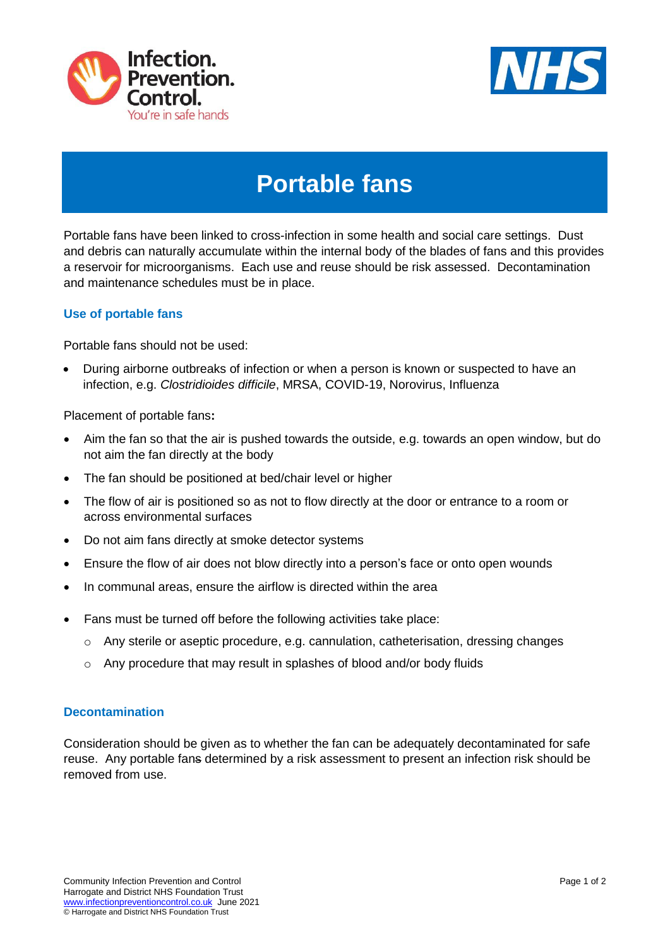



## **Portable fans**

Portable fans have been linked to cross-infection in some health and social care settings. Dust and debris can naturally accumulate within the internal body of the blades of fans and this provides a reservoir for microorganisms. Each use and reuse should be risk assessed. Decontamination and maintenance schedules must be in place.

## **Use of portable fans**

Portable fans should not be used:

 During airborne outbreaks of infection or when a person is known or suspected to have an infection, e.g. *Clostridioides difficile*, MRSA, COVID-19, Norovirus, Influenza

Placement of portable fans**:**

- Aim the fan so that the air is pushed towards the outside, e.g. towards an open window, but do not aim the fan directly at the body
- The fan should be positioned at bed/chair level or higher
- The flow of air is positioned so as not to flow directly at the door or entrance to a room or across environmental surfaces
- Do not aim fans directly at smoke detector systems
- Ensure the flow of air does not blow directly into a person's face or onto open wounds
- In communal areas, ensure the airflow is directed within the area
- Fans must be turned off before the following activities take place:
	- o Any sterile or aseptic procedure, e.g. cannulation, catheterisation, dressing changes
	- $\circ$  Any procedure that may result in splashes of blood and/or body fluids

## **Decontamination**

Consideration should be given as to whether the fan can be adequately decontaminated for safe reuse. Any portable fans determined by a risk assessment to present an infection risk should be removed from use.